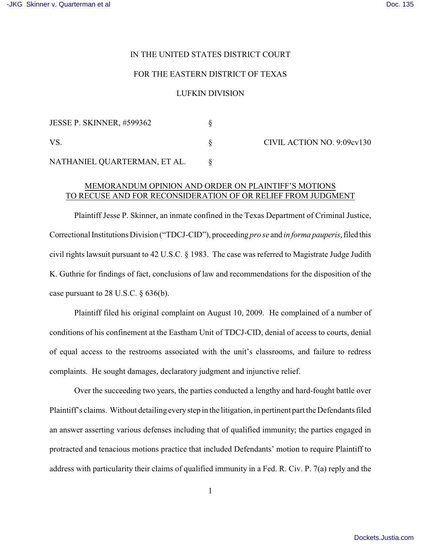### IN THE UNITED STATES DISTRICT COURT

### FOR THE EASTERN DISTRICT OF TEXAS

#### LUFKIN DIVISION

| <b>JESSE P. SKINNER, #599362</b> |  |
|----------------------------------|--|
| VS.                              |  |
| NATHANIEL QUARTERMAN, ET AL.     |  |

CIVIL ACTION NO. 9:09cv130

## MEMORANDUM OPINION AND ORDER ON PLAINTIFF'S MOTIONS TO RECUSE AND FOR RECONSIDERATION OF OR RELIEF FROM JUDGMENT

Plaintiff Jesse P. Skinner, an inmate confined in the Texas Department of Criminal Justice, Correctional Institutions Division ("TDCJ-CID"), proceeding *pro se* and *in forma pauperis*, filed this civil rights lawsuit pursuant to 42 U.S.C. § 1983. The case was referred to Magistrate Judge Judith K. Guthrie for findings of fact, conclusions of law and recommendations for the disposition of the case pursuant to 28 U.S.C.  $\S$  636(b).

Plaintiff filed his original complaint on August 10, 2009. He complained of a number of conditions of his confinement at the Eastham Unit of TDCJ-CID, denial of access to courts, denial of equal access to the restrooms associated with the unit's classrooms, and failure to redress complaints. He sought damages, declaratory judgment and injunctive relief.

Over the succeeding two years, the parties conducted a lengthy and hard-fought battle over Plaintiff's claims. Without detailing everystep in the litigation, in pertinent part the Defendants filed an answer asserting various defenses including that of qualified immunity; the parties engaged in protracted and tenacious motions practice that included Defendants' motion to require Plaintiff to address with particularity their claims of qualified immunity in a Fed. R. Civ. P. 7(a) reply and the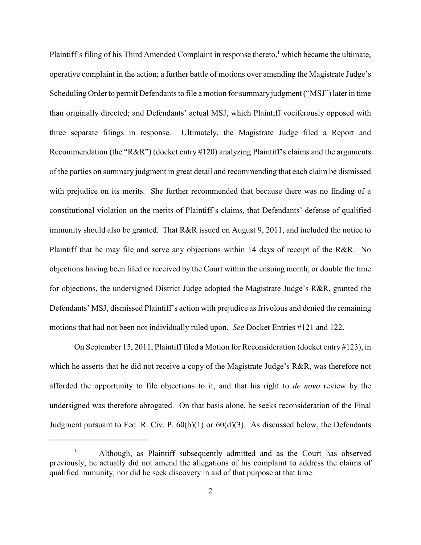Plaintiff's filing of his Third Amended Complaint in response thereto, $\frac{1}{1}$  which became the ultimate, operative complaint in the action; a further battle of motions over amending the Magistrate Judge's Scheduling Order to permit Defendants to file a motion for summary judgment ("MSJ") later in time than originally directed; and Defendants' actual MSJ, which Plaintiff vociferously opposed with three separate filings in response. Ultimately, the Magistrate Judge filed a Report and Recommendation (the "R&R") (docket entry #120) analyzing Plaintiff's claims and the arguments of the parties on summary judgment in great detail and recommending that each claim be dismissed with prejudice on its merits. She further recommended that because there was no finding of a constitutional violation on the merits of Plaintiff's claims, that Defendants' defense of qualified immunity should also be granted. That R&R issued on August 9, 2011, and included the notice to Plaintiff that he may file and serve any objections within 14 days of receipt of the R&R. No objections having been filed or received by the Court within the ensuing month, or double the time for objections, the undersigned District Judge adopted the Magistrate Judge's R&R, granted the Defendants' MSJ, dismissed Plaintiff's action with prejudice as frivolous and denied the remaining motions that had not been not individually ruled upon. *See* Docket Entries #121 and 122.

On September 15, 2011, Plaintiff filed a Motion for Reconsideration (docket entry #123), in which he asserts that he did not receive a copy of the Magistrate Judge's R&R, was therefore not afforded the opportunity to file objections to it, and that his right to *de novo* review by the undersigned was therefore abrogated. On that basis alone, he seeks reconsideration of the Final Judgment pursuant to Fed. R. Civ. P.  $60(b)(1)$  or  $60(d)(3)$ . As discussed below, the Defendants

Although, as Plaintiff subsequently admitted and as the Court has observed 1 previously, he actually did not amend the allegations of his complaint to address the claims of qualified immunity, nor did he seek discovery in aid of that purpose at that time.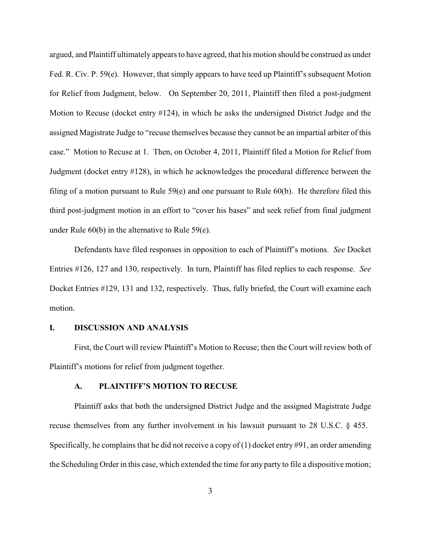argued, and Plaintiff ultimately appears to have agreed, that his motion should be construed as under Fed. R. Civ. P. 59(e). However, that simply appears to have teed up Plaintiff's subsequent Motion for Relief from Judgment, below. On September 20, 2011, Plaintiff then filed a post-judgment Motion to Recuse (docket entry #124), in which he asks the undersigned District Judge and the assigned Magistrate Judge to "recuse themselves because they cannot be an impartial arbiter of this case." Motion to Recuse at 1. Then, on October 4, 2011, Plaintiff filed a Motion for Relief from Judgment (docket entry #128), in which he acknowledges the procedural difference between the filing of a motion pursuant to Rule 59(e) and one pursuant to Rule 60(b). He therefore filed this third post-judgment motion in an effort to "cover his bases" and seek relief from final judgment under Rule 60(b) in the alternative to Rule 59(e).

Defendants have filed responses in opposition to each of Plaintiff's motions. *See* Docket Entries #126, 127 and 130, respectively. In turn, Plaintiff has filed replies to each response. *See* Docket Entries #129, 131 and 132, respectively. Thus, fully briefed, the Court will examine each motion.

#### **I. DISCUSSION AND ANALYSIS**

First, the Court will review Plaintiff's Motion to Recuse; then the Court will review both of Plaintiff's motions for relief from judgment together.

## **A. PLAINTIFF'S MOTION TO RECUSE**

Plaintiff asks that both the undersigned District Judge and the assigned Magistrate Judge recuse themselves from any further involvement in his lawsuit pursuant to 28 U.S.C. § 455. Specifically, he complains that he did not receive a copy of  $(1)$  docket entry #91, an order amending the Scheduling Order in this case, which extended the time for any party to file a dispositive motion;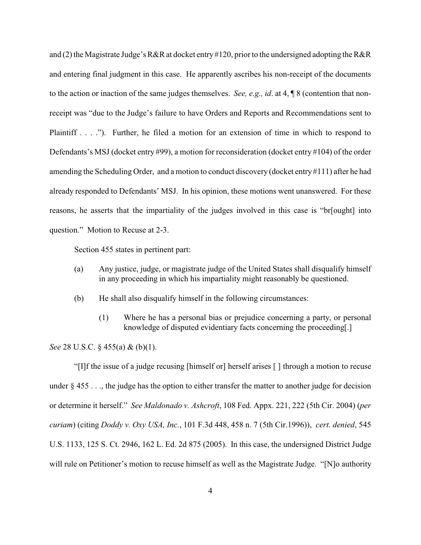and (2) the Magistrate Judge's R&R at docket entry #120, prior to the undersigned adopting the R&R and entering final judgment in this case. He apparently ascribes his non-receipt of the documents to the action or inaction of the same judges themselves. *See, e.g., id*. at 4, ¶ 8 (contention that nonreceipt was "due to the Judge's failure to have Orders and Reports and Recommendations sent to Plaintiff . . . ."). Further, he filed a motion for an extension of time in which to respond to Defendants's MSJ (docket entry #99), a motion for reconsideration (docket entry #104) of the order amending the Scheduling Order, and a motion to conduct discovery (docket entry #111) after he had already responded to Defendants' MSJ. In his opinion, these motions went unanswered. For these reasons, he asserts that the impartiality of the judges involved in this case is "br[ought] into question." Motion to Recuse at 2-3.

Section 455 states in pertinent part:

- (a) Any justice, judge, or magistrate judge of the United States shall disqualify himself in any proceeding in which his impartiality might reasonably be questioned.
- (b) He shall also disqualify himself in the following circumstances:
	- (1) Where he has a personal bias or prejudice concerning a party, or personal knowledge of disputed evidentiary facts concerning the proceeding[.]

*See* 28 U.S.C. § 455(a) & (b)(1).

"[I]f the issue of a judge recusing [himself or] herself arises [ ] through a motion to recuse under § 455 . . ., the judge has the option to either transfer the matter to another judge for decision or determine it herself." *See Maldonado v. Ashcroft*, 108 Fed. Appx. 221, 222 (5th Cir. 2004) (*per curiam*) (citing *Doddy v. Oxy USA, Inc.*, 101 F.3d 448, 458 n. 7 (5th Cir.1996)), *cert. denied*, 545 U.S. 1133, 125 S. Ct. 2946, 162 L. Ed. 2d 875 (2005). In this case, the undersigned District Judge will rule on Petitioner's motion to recuse himself as well as the Magistrate Judge. "[N]o authority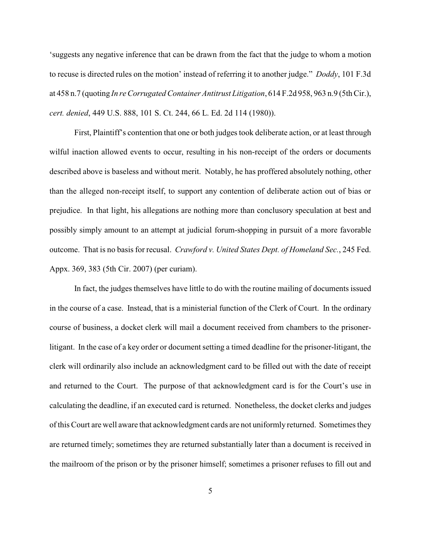'suggests any negative inference that can be drawn from the fact that the judge to whom a motion to recuse is directed rules on the motion' instead of referring it to another judge." *Doddy*, 101 F.3d at 458 n.7 (quoting *In re Corrugated Container Antitrust Litigation*, 614 F.2d 958, 963 n.9 (5th Cir.), *cert. denied*, 449 U.S. 888, 101 S. Ct. 244, 66 L. Ed. 2d 114 (1980)).

First, Plaintiff's contention that one or both judges took deliberate action, or at least through wilful inaction allowed events to occur, resulting in his non-receipt of the orders or documents described above is baseless and without merit. Notably, he has proffered absolutely nothing, other than the alleged non-receipt itself, to support any contention of deliberate action out of bias or prejudice. In that light, his allegations are nothing more than conclusory speculation at best and possibly simply amount to an attempt at judicial forum-shopping in pursuit of a more favorable outcome. That is no basis for recusal. *Crawford v. United States Dept. of Homeland Sec.*, 245 Fed. Appx. 369, 383 (5th Cir. 2007) (per curiam).

In fact, the judges themselves have little to do with the routine mailing of documents issued in the course of a case. Instead, that is a ministerial function of the Clerk of Court. In the ordinary course of business, a docket clerk will mail a document received from chambers to the prisonerlitigant. In the case of a key order or document setting a timed deadline for the prisoner-litigant, the clerk will ordinarily also include an acknowledgment card to be filled out with the date of receipt and returned to the Court. The purpose of that acknowledgment card is for the Court's use in calculating the deadline, if an executed card is returned. Nonetheless, the docket clerks and judges of this Court are well aware that acknowledgment cards are not uniformly returned. Sometimes they are returned timely; sometimes they are returned substantially later than a document is received in the mailroom of the prison or by the prisoner himself; sometimes a prisoner refuses to fill out and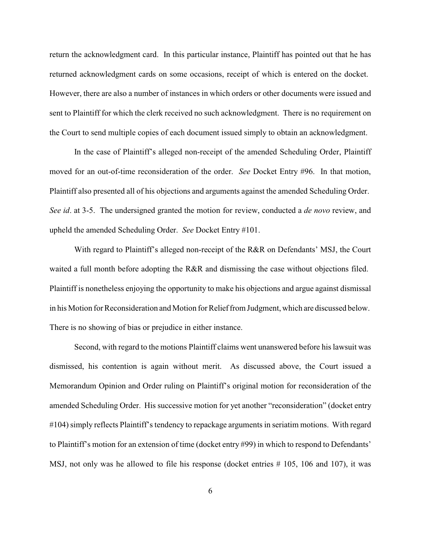return the acknowledgment card. In this particular instance, Plaintiff has pointed out that he has returned acknowledgment cards on some occasions, receipt of which is entered on the docket. However, there are also a number of instances in which orders or other documents were issued and sent to Plaintiff for which the clerk received no such acknowledgment. There is no requirement on the Court to send multiple copies of each document issued simply to obtain an acknowledgment.

In the case of Plaintiff's alleged non-receipt of the amended Scheduling Order, Plaintiff moved for an out-of-time reconsideration of the order. *See* Docket Entry #96. In that motion, Plaintiff also presented all of his objections and arguments against the amended Scheduling Order. *See id*. at 3-5. The undersigned granted the motion for review, conducted a *de novo* review, and upheld the amended Scheduling Order. *See* Docket Entry #101.

With regard to Plaintiff's alleged non-receipt of the R&R on Defendants' MSJ, the Court waited a full month before adopting the R&R and dismissing the case without objections filed. Plaintiff is nonetheless enjoying the opportunity to make his objections and argue against dismissal in his Motion for Reconsideration and Motion for Relief from Judgment, which are discussed below. There is no showing of bias or prejudice in either instance.

Second, with regard to the motions Plaintiff claims went unanswered before his lawsuit was dismissed, his contention is again without merit. As discussed above, the Court issued a Memorandum Opinion and Order ruling on Plaintiff's original motion for reconsideration of the amended Scheduling Order. His successive motion for yet another "reconsideration" (docket entry #104) simply reflects Plaintiff's tendency to repackage arguments in seriatim motions. With regard to Plaintiff's motion for an extension of time (docket entry #99) in which to respond to Defendants' MSJ, not only was he allowed to file his response (docket entries # 105, 106 and 107), it was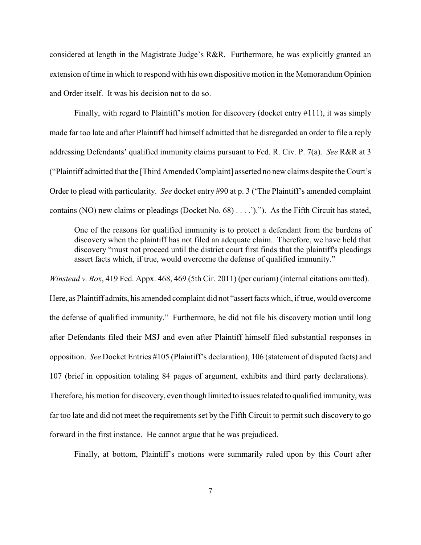considered at length in the Magistrate Judge's R&R. Furthermore, he was explicitly granted an extension of time in which to respond with his own dispositive motion in the Memorandum Opinion and Order itself. It was his decision not to do so.

Finally, with regard to Plaintiff's motion for discovery (docket entry #111), it was simply made far too late and after Plaintiff had himself admitted that he disregarded an order to file a reply addressing Defendants' qualified immunity claims pursuant to Fed. R. Civ. P. 7(a). *See* R&R at 3 ("Plaintiff admitted that the [Third Amended Complaint] asserted no new claims despite the Court's Order to plead with particularity. *See* docket entry #90 at p. 3 ('The Plaintiff's amended complaint contains (NO) new claims or pleadings (Docket No. 68) . . . .')."). As the Fifth Circuit has stated,

One of the reasons for qualified immunity is to protect a defendant from the burdens of discovery when the plaintiff has not filed an adequate claim. Therefore, we have held that discovery "must not proceed until the district court first finds that the plaintiff's pleadings assert facts which, if true, would overcome the defense of qualified immunity."

*Winstead v. Box*, 419 Fed. Appx. 468, 469 (5th Cir. 2011) (per curiam) (internal citations omitted).

Here, as Plaintiff admits, his amended complaint did not "assert facts which, if true, would overcome the defense of qualified immunity." Furthermore, he did not file his discovery motion until long after Defendants filed their MSJ and even after Plaintiff himself filed substantial responses in opposition. *See* Docket Entries #105 (Plaintiff's declaration), 106 (statement of disputed facts) and 107 (brief in opposition totaling 84 pages of argument, exhibits and third party declarations). Therefore, his motion for discovery, even though limited to issues related to qualified immunity, was far too late and did not meet the requirements set by the Fifth Circuit to permit such discovery to go forward in the first instance. He cannot argue that he was prejudiced.

Finally, at bottom, Plaintiff's motions were summarily ruled upon by this Court after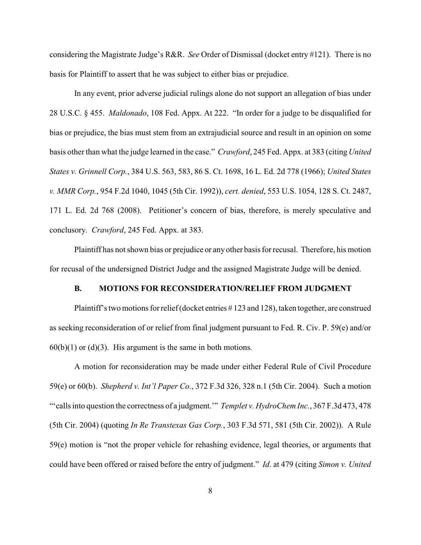considering the Magistrate Judge's R&R. *See* Order of Dismissal (docket entry #121). There is no basis for Plaintiff to assert that he was subject to either bias or prejudice.

In any event, prior adverse judicial rulings alone do not support an allegation of bias under 28 U.S.C. § 455. *Maldonado*, 108 Fed. Appx. At 222. "In order for a judge to be disqualified for bias or prejudice, the bias must stem from an extrajudicial source and result in an opinion on some basis other than what the judge learned in the case." *Crawford*, 245 Fed. Appx. at 383 (citing *United States v. Grinnell Corp.*, 384 U.S. 563, 583, 86 S. Ct. 1698, 16 L. Ed. 2d 778 (1966); *United States v. MMR Corp.*, 954 F.2d 1040, 1045 (5th Cir. 1992)), *cert. denied*, 553 U.S. 1054, 128 S. Ct. 2487, 171 L. Ed. 2d 768 (2008). Petitioner's concern of bias, therefore, is merely speculative and conclusory. *Crawford*, 245 Fed. Appx. at 383.

Plaintiff has not shown bias or prejudice or any other basis for recusal. Therefore, his motion for recusal of the undersigned District Judge and the assigned Magistrate Judge will be denied.

# **B. MOTIONS FOR RECONSIDERATION/RELIEF FROM JUDGMENT**

Plaintiff's two motions for relief(docket entries # 123 and 128), taken together, are construed as seeking reconsideration of or relief from final judgment pursuant to Fed. R. Civ. P. 59(e) and/or  $60(b)(1)$  or (d)(3). His argument is the same in both motions.

A motion for reconsideration may be made under either Federal Rule of Civil Procedure 59(e) or 60(b). *Shepherd v. Int'l Paper Co.*, 372 F.3d 326, 328 n.1 (5th Cir. 2004). Such a motion "'calls into question the correctness of a judgment.'" *Templet v. HydroChem Inc.*, 367 F.3d 473, 478 (5th Cir. 2004) (quoting *In Re Transtexas Gas Corp.*, 303 F.3d 571, 581 (5th Cir. 2002)). A Rule 59(e) motion is "not the proper vehicle for rehashing evidence, legal theories, or arguments that could have been offered or raised before the entry of judgment." *Id*. at 479 (citing *Simon v. United*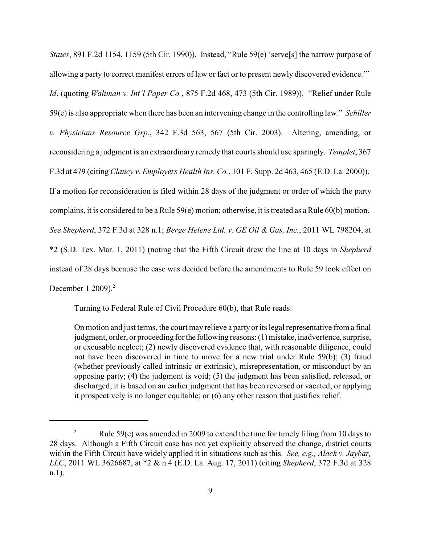*States*, 891 F.2d 1154, 1159 (5th Cir. 1990)). Instead, "Rule 59(e) 'serve[s] the narrow purpose of allowing a party to correct manifest errors of law or fact or to present newly discovered evidence.'" *Id*. (quoting *Waltman v. Int'l Paper Co.*, 875 F.2d 468, 473 (5th Cir. 1989)). "Relief under Rule 59(e) is also appropriate when there has been an intervening change in the controlling law." *Schiller v. Physicians Resource Grp.*, 342 F.3d 563, 567 (5th Cir. 2003). Altering, amending, or reconsidering a judgment is an extraordinary remedy that courts should use sparingly. *Templet*, 367 F.3d at 479 (citing *Clancy v. Employers Health Ins. Co.*, 101 F. Supp. 2d 463, 465 (E.D. La. 2000)). If a motion for reconsideration is filed within 28 days of the judgment or order of which the party complains, it is considered to be a Rule 59(e) motion; otherwise, it is treated as a Rule 60(b) motion. *See Shepherd*, 372 F.3d at 328 n.1; *Berge Helene Ltd. v. GE Oil & Gas, Inc.*, 2011 WL 798204, at \*2 (S.D. Tex. Mar. 1, 2011) (noting that the Fifth Circuit drew the line at 10 days in *Shepherd* instead of 28 days because the case was decided before the amendments to Rule 59 took effect on December 1 2009).<sup>2</sup>

Turning to Federal Rule of Civil Procedure 60(b), that Rule reads:

On motion and just terms, the court may relieve a party or its legal representative from a final judgment, order, or proceeding for the following reasons: (1) mistake, inadvertence, surprise, or excusable neglect; (2) newly discovered evidence that, with reasonable diligence, could not have been discovered in time to move for a new trial under Rule 59(b); (3) fraud (whether previously called intrinsic or extrinsic), misrepresentation, or misconduct by an opposing party; (4) the judgment is void; (5) the judgment has been satisfied, released, or discharged; it is based on an earlier judgment that has been reversed or vacated; or applying it prospectively is no longer equitable; or (6) any other reason that justifies relief.

<sup>&</sup>lt;sup>2</sup> Rule 59(e) was amended in 2009 to extend the time for timely filing from 10 days to 28 days. Although a Fifth Circuit case has not yet explicitly observed the change, district courts within the Fifth Circuit have widely applied it in situations such as this. *See, e.g., Alack v. Jaybar, LLC*, 2011 WL 3626687, at \*2 & n.4 (E.D. La. Aug. 17, 2011) (citing *Shepherd*, 372 F.3d at 328 n.1).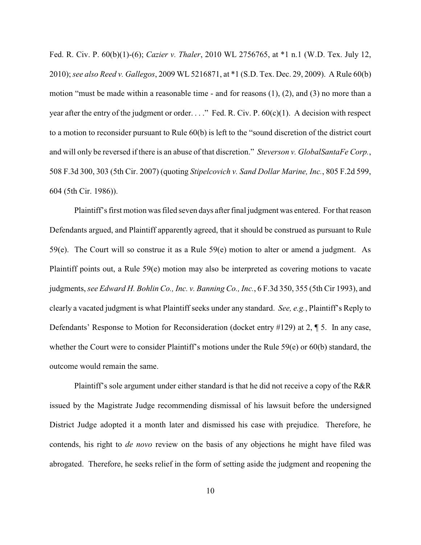Fed. R. Civ. P. 60(b)(1)-(6); *Cazier v. Thaler*, 2010 WL 2756765, at \*1 n.1 (W.D. Tex. July 12, 2010); *see also Reed v. Gallegos*, 2009 WL 5216871, at \*1 (S.D. Tex. Dec. 29, 2009). A Rule 60(b) motion "must be made within a reasonable time - and for reasons  $(1)$ ,  $(2)$ , and  $(3)$  no more than a year after the entry of the judgment or order. . . ." Fed. R. Civ. P. 60(c)(1). A decision with respect to a motion to reconsider pursuant to Rule 60(b) is left to the "sound discretion of the district court and will only be reversed if there is an abuse of that discretion." *Steverson v. GlobalSantaFe Corp.*, 508 F.3d 300, 303 (5th Cir. 2007) (quoting *Stipelcovich v. Sand Dollar Marine, Inc.*, 805 F.2d 599, 604 (5th Cir. 1986)).

Plaintiff's first motion was filed seven days after final judgment was entered. Forthat reason Defendants argued, and Plaintiff apparently agreed, that it should be construed as pursuant to Rule 59(e). The Court will so construe it as a Rule 59(e) motion to alter or amend a judgment. As Plaintiff points out, a Rule 59(e) motion may also be interpreted as covering motions to vacate judgments, *see Edward H. Bohlin Co., Inc. v. Banning Co., Inc.*, 6 F.3d 350, 355 (5th Cir 1993), and clearly a vacated judgment is what Plaintiff seeks under any standard. *See, e.g.*, Plaintiff's Reply to Defendants' Response to Motion for Reconsideration (docket entry #129) at 2, ¶ 5. In any case, whether the Court were to consider Plaintiff's motions under the Rule 59(e) or 60(b) standard, the outcome would remain the same.

Plaintiff's sole argument under either standard is that he did not receive a copy of the R&R issued by the Magistrate Judge recommending dismissal of his lawsuit before the undersigned District Judge adopted it a month later and dismissed his case with prejudice. Therefore, he contends, his right to *de novo* review on the basis of any objections he might have filed was abrogated. Therefore, he seeks relief in the form of setting aside the judgment and reopening the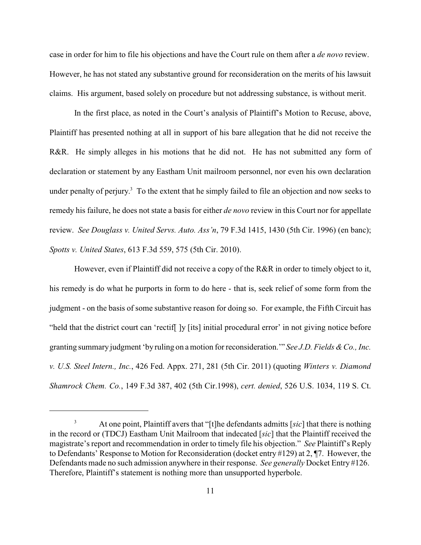case in order for him to file his objections and have the Court rule on them after a *de novo* review. However, he has not stated any substantive ground for reconsideration on the merits of his lawsuit claims. His argument, based solely on procedure but not addressing substance, is without merit.

In the first place, as noted in the Court's analysis of Plaintiff's Motion to Recuse, above, Plaintiff has presented nothing at all in support of his bare allegation that he did not receive the R&R. He simply alleges in his motions that he did not. He has not submitted any form of declaration or statement by any Eastham Unit mailroom personnel, nor even his own declaration under penalty of perjury.<sup>3</sup> To the extent that he simply failed to file an objection and now seeks to remedy his failure, he does not state a basis for either *de novo* review in this Court nor for appellate review. *See Douglass v. United Servs. Auto. Ass'n*, 79 F.3d 1415, 1430 (5th Cir. 1996) (en banc); *Spotts v. United States*, 613 F.3d 559, 575 (5th Cir. 2010).

However, even if Plaintiff did not receive a copy of the R&R in order to timely object to it, his remedy is do what he purports in form to do here - that is, seek relief of some form from the judgment - on the basis of some substantive reason for doing so. For example, the Fifth Circuit has "held that the district court can 'rectif[ ]y [its] initial procedural error' in not giving notice before granting summary judgment 'by ruling on a motion for reconsideration.'" *See J.D. Fields &Co., Inc. v. U.S. Steel Intern., Inc.*, 426 Fed. Appx. 271, 281 (5th Cir. 2011) (quoting *Winters v. Diamond Shamrock Chem. Co.*, 149 F.3d 387, 402 (5th Cir.1998), *cert. denied*, 526 U.S. 1034, 119 S. Ct.

<sup>&</sup>lt;sup>3</sup> At one point, Plaintiff avers that "[t]he defendants admitts [sic] that there is nothing in the record or (TDCJ) Eastham Unit Mailroom that indecated [*sic*] that the Plaintiff received the magistrate's report and recommendation in order to timely file his objection." *See* Plaintiff's Reply to Defendants' Response to Motion for Reconsideration (docket entry #129) at 2, ¶7. However, the Defendants made no such admission anywhere in their response. *See generally* Docket Entry #126. Therefore, Plaintiff's statement is nothing more than unsupported hyperbole.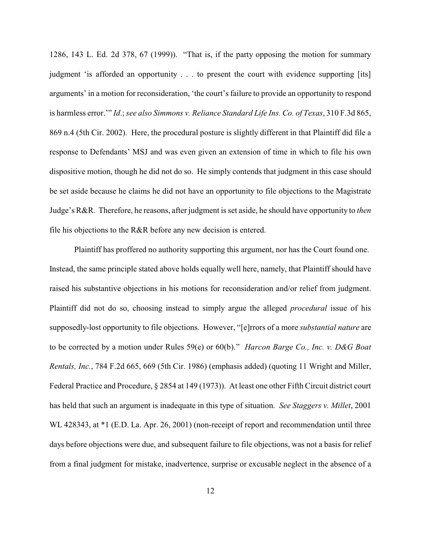1286, 143 L. Ed. 2d 378, 67 (1999)). "That is, if the party opposing the motion for summary judgment 'is afforded an opportunity . . . to present the court with evidence supporting [its] arguments' in a motion for reconsideration, 'the court's failure to provide an opportunity to respond is harmless error.'" *Id*.; *see also Simmons v. Reliance Standard Life Ins. Co. of Texas*, 310 F.3d 865, 869 n.4 (5th Cir. 2002). Here, the procedural posture is slightly different in that Plaintiff did file a response to Defendants' MSJ and was even given an extension of time in which to file his own dispositive motion, though he did not do so. He simply contends that judgment in this case should be set aside because he claims he did not have an opportunity to file objections to the Magistrate Judge's R&R. Therefore, he reasons, after judgment is set aside, he should have opportunity to *then* file his objections to the R&R before any new decision is entered.

Plaintiff has proffered no authority supporting this argument, nor has the Court found one. Instead, the same principle stated above holds equally well here, namely, that Plaintiff should have raised his substantive objections in his motions for reconsideration and/or relief from judgment. Plaintiff did not do so, choosing instead to simply argue the alleged *procedural* issue of his supposedly-lost opportunity to file objections. However, "[e]rrors of a more *substantial nature* are to be corrected by a motion under Rules 59(e) or 60(b)." *Harcon Barge Co., Inc. v. D&G Boat Rentals, Inc.*, 784 F.2d 665, 669 (5th Cir. 1986) (emphasis added) (quoting 11 Wright and Miller, Federal Practice and Procedure, § 2854 at 149 (1973)). At least one other Fifth Circuit district court has held that such an argument is inadequate in this type of situation. *See Staggers v. Millet*, 2001 WL 428343, at  $*1$  (E.D. La. Apr. 26, 2001) (non-receipt of report and recommendation until three days before objections were due, and subsequent failure to file objections, was not a basis for relief from a final judgment for mistake, inadvertence, surprise or excusable neglect in the absence of a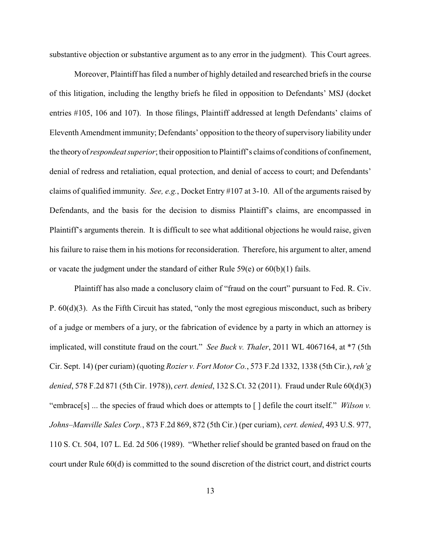substantive objection or substantive argument as to any error in the judgment). This Court agrees.

Moreover, Plaintiff has filed a number of highly detailed and researched briefs in the course of this litigation, including the lengthy briefs he filed in opposition to Defendants' MSJ (docket entries #105, 106 and 107). In those filings, Plaintiff addressed at length Defendants' claims of Eleventh Amendment immunity; Defendants' opposition to the theory of supervisory liability under the theoryof*respondeat superior*; their opposition to Plaintiff's claims of conditions of confinement, denial of redress and retaliation, equal protection, and denial of access to court; and Defendants' claims of qualified immunity. *See, e.g.*, Docket Entry #107 at 3-10. All of the arguments raised by Defendants, and the basis for the decision to dismiss Plaintiff's claims, are encompassed in Plaintiff's arguments therein. It is difficult to see what additional objections he would raise, given his failure to raise them in his motions for reconsideration. Therefore, his argument to alter, amend or vacate the judgment under the standard of either Rule 59(e) or 60(b)(1) fails.

Plaintiff has also made a conclusory claim of "fraud on the court" pursuant to Fed. R. Civ. P. 60(d)(3). As the Fifth Circuit has stated, "only the most egregious misconduct, such as bribery of a judge or members of a jury, or the fabrication of evidence by a party in which an attorney is implicated, will constitute fraud on the court." *See Buck v. Thaler*, 2011 WL 4067164, at \*7 (5th Cir. Sept. 14) (per curiam) (quoting *Rozier v. Fort Motor Co.*, 573 F.2d 1332, 1338 (5th Cir.), *reh'g denied*, 578 F.2d 871 (5th Cir. 1978)), *cert. denied*, 132 S.Ct. 32 (2011). Fraud under Rule 60(d)(3) "embrace[s] ... the species of fraud which does or attempts to [ ] defile the court itself." *Wilson v. Johns–Manville Sales Corp.*, 873 F.2d 869, 872 (5th Cir.) (per curiam), *cert. denied*, 493 U.S. 977, 110 S. Ct. 504, 107 L. Ed. 2d 506 (1989). "Whether relief should be granted based on fraud on the court under Rule 60(d) is committed to the sound discretion of the district court, and district courts